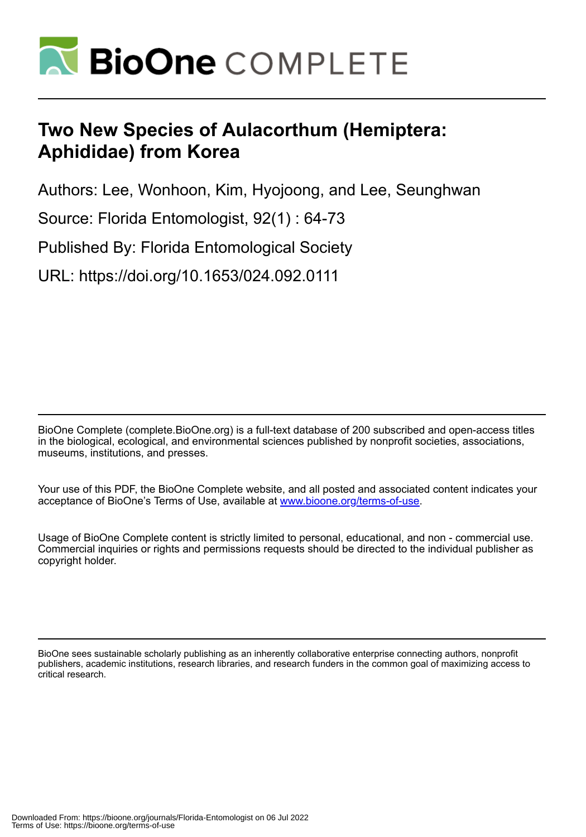

# **Two New Species of Aulacorthum (Hemiptera: Aphididae) from Korea**

Authors: Lee, Wonhoon, Kim, Hyojoong, and Lee, Seunghwan

Source: Florida Entomologist, 92(1) : 64-73

Published By: Florida Entomological Society

URL: https://doi.org/10.1653/024.092.0111

BioOne Complete (complete.BioOne.org) is a full-text database of 200 subscribed and open-access titles in the biological, ecological, and environmental sciences published by nonprofit societies, associations, museums, institutions, and presses.

Your use of this PDF, the BioOne Complete website, and all posted and associated content indicates your acceptance of BioOne's Terms of Use, available at www.bioone.org/terms-of-use.

Usage of BioOne Complete content is strictly limited to personal, educational, and non - commercial use. Commercial inquiries or rights and permissions requests should be directed to the individual publisher as copyright holder.

BioOne sees sustainable scholarly publishing as an inherently collaborative enterprise connecting authors, nonprofit publishers, academic institutions, research libraries, and research funders in the common goal of maximizing access to critical research.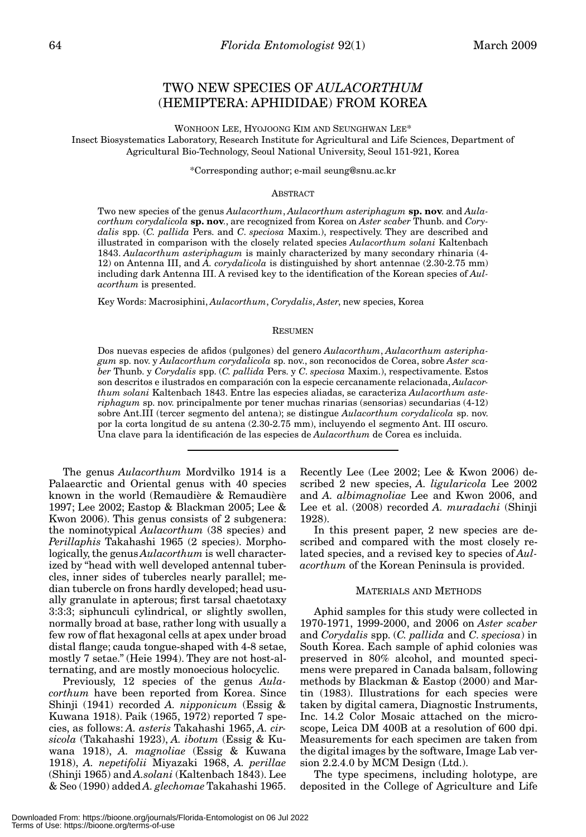# TWO NEW SPECIES OF *AULACORTHUM* (HEMIPTERA: APHIDIDAE) FROM KOREA

WONHOON LEE, HYOJOONG KIM AND SEUNGHWAN LEE\* Insect Biosystematics Laboratory, Research Institute for Agricultural and Life Sciences, Department of Agricultural Bio-Technology, Seoul National University, Seoul 151-921, Korea

\*Corresponding author; e-mail seung@snu.ac.kr

#### ABSTRACT

Two new species of the genus *Aulacorthum*, *Aulacorthum asteriphagum* **sp. nov**. and *Aulacorthum corydalicola* **sp. nov**., are recognized from Korea on *Aster scaber* Thunb. and *Corydalis* spp. (*C. pallida* Pers. and *C*. *speciosa* Maxim.), respectively. They are described and illustrated in comparison with the closely related species *Aulacorthum solani* Kaltenbach 1843. *Aulacorthum asteriphagum* is mainly characterized by many secondary rhinaria (4- 12) on Antenna III, and *A. corydalicola* is distinguished by short antennae (2.30-2.75 mm) including dark Antenna III. A revised key to the identification of the Korean species of *Aulacorthum* is presented.

Key Words: Macrosiphini, *Aulacorthum*, *Corydalis*, *Aster*, new species, Korea

#### RESUMEN

Dos nuevas especies de afidos (pulgones) del genero *Aulacorthum*, *Aulacorthum asteriphagum* sp. nov. y *Aulacorthum corydalicola* sp. nov., son reconocidos de Corea, sobre *Aster scaber* Thunb. y *Corydalis* spp. (*C. pallida* Pers. y *C*. *speciosa* Maxim.), respectivamente. Estos son descritos e ilustrados en comparación con la especie cercanamente relacionada, *Aulacorthum solani* Kaltenbach 1843. Entre las especies aliadas, se caracteriza *Aulacorthum asteriphagum* sp. nov. principalmente por tener muchas rinarias (sensorias) secundarias (4-12) sobre Ant.III (tercer segmento del antena); se distingue *Aulacorthum corydalicola* sp. nov. por la corta longitud de su antena (2.30-2.75 mm), incluyendo el segmento Ant. III oscuro. Una clave para la identificación de las especies de *Aulacorthum* de Corea es incluida.

The genus *Aulacorthum* Mordvilko 1914 is a Palaearctic and Oriental genus with 40 species known in the world (Remaudière & Remaudière 1997; Lee 2002; Eastop & Blackman 2005; Lee & Kwon 2006). This genus consists of 2 subgenera: the nominotypical *Aulacorthum* (38 species) and *Perillaphis* Takahashi 1965 (2 species). Morphologically, the genus *Aulacorthum* is well characterized by "head with well developed antennal tubercles, inner sides of tubercles nearly parallel; median tubercle on frons hardly developed; head usually granulate in apterous; first tarsal chaetotaxy 3:3:3; siphunculi cylindrical, or slightly swollen, normally broad at base, rather long with usually a few row of flat hexagonal cells at apex under broad distal flange; cauda tongue-shaped with 4-8 setae, mostly 7 setae." (Heie 1994). They are not host-alternating, and are mostly monoecious holocyclic.

Previously, 12 species of the genus *Aulacorthum* have been reported from Korea. Since Shinji (1941) recorded *A. nipponicum* (Essig & Kuwana 1918). Paik (1965, 1972) reported 7 species, as follows: *A. asteris* Takahashi 1965, *A. cirsicola* (Takahashi 1923), *A. ibotum* (Essig & Kuwana 1918), *A. magnoliae* (Essig & Kuwana 1918), *A. nepetifolii* Miyazaki 1968, *A. perillae* (Shinji 1965) and *A.solani* (Kaltenbach 1843). Lee & Seo (1990) added *A. glechomae* Takahashi 1965. Recently Lee (Lee 2002; Lee & Kwon 2006) described 2 new species, *A. ligularicola* Lee 2002 and *A. albimagnoliae* Lee and Kwon 2006, and Lee et al. (2008) recorded *A. muradachi* (Shinji 1928).

In this present paper, 2 new species are described and compared with the most closely related species, and a revised key to species of *Aulacorthum* of the Korean Peninsula is provided.

#### MATERIALS AND METHODS

Aphid samples for this study were collected in 1970-1971, 1999-2000, and 2006 on *Aster scaber* and *Corydalis* spp. (*C. pallida* and *C*. *speciosa*) in South Korea. Each sample of aphid colonies was preserved in 80% alcohol, and mounted specimens were prepared in Canada balsam, following methods by Blackman & Eastop (2000) and Martin (1983). Illustrations for each species were taken by digital camera, Diagnostic Instruments, Inc. 14.2 Color Mosaic attached on the microscope, Leica DM 400B at a resolution of 600 dpi. Measurements for each specimen are taken from the digital images by the software, Image Lab version 2.2.4.0 by MCM Design (Ltd.).

The type specimens, including holotype, are deposited in the College of Agriculture and Life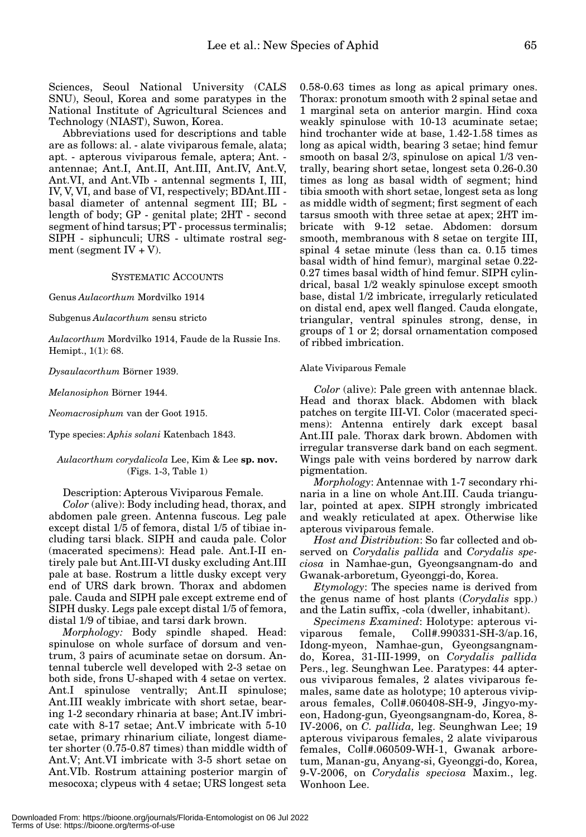Sciences, Seoul National University (CALS SNU), Seoul, Korea and some paratypes in the National Institute of Agricultural Sciences and Technology (NIAST), Suwon, Korea.

Abbreviations used for descriptions and table are as follows: al. - alate viviparous female, alata; apt. - apterous viviparous female, aptera; Ant. antennae; Ant.I, Ant.II, Ant.III, Ant.IV, Ant.V, Ant.VI, and Ant.VIb - antennal segments I, III, IV, V, VI, and base of VI, respectively; BDAnt.III basal diameter of antennal segment III; BL length of body; GP - genital plate; 2HT - second segment of hind tarsus; PT - processus terminalis; SIPH - siphunculi; URS - ultimate rostral segment (segment  $IV + V$ ).

#### SYSTEMATIC ACCOUNTS

Genus *Aulacorthum* Mordvilko 1914

Subgenus *Aulacorthum* sensu stricto

*Aulacorthum* Mordvilko 1914, Faude de la Russie Ins. Hemipt., 1(1): 68.

*Dysaulacorthum* Börner 1939.

*Melanosiphon* Börner 1944.

*Neomacrosiphum* van der Goot 1915.

Type species: *Aphis solani* Katenbach 1843.

#### *Aulacorthum corydalicola* Lee, Kim & Lee **sp. nov.**  (Figs. 1-3, Table 1)

Description: Apterous Viviparous Female.

*Color* (alive): Body including head, thorax, and abdomen pale green. Antenna fuscous. Leg pale except distal 1/5 of femora, distal 1/5 of tibiae including tarsi black. SIPH and cauda pale. Color (macerated specimens): Head pale. Ant.I-II entirely pale but Ant.III-VI dusky excluding Ant.III pale at base. Rostrum a little dusky except very end of URS dark brown. Thorax and abdomen pale. Cauda and SIPH pale except extreme end of SIPH dusky. Legs pale except distal 1/5 of femora, distal 1/9 of tibiae, and tarsi dark brown.

*Morphology:* Body spindle shaped. Head: spinulose on whole surface of dorsum and ventrum, 3 pairs of acuminate setae on dorsum. Antennal tubercle well developed with 2-3 setae on both side, frons U-shaped with 4 setae on vertex. Ant.I spinulose ventrally; Ant.II spinulose; Ant.III weakly imbricate with short setae, bearing 1-2 secondary rhinaria at base; Ant.IV imbricate with 8-17 setae; Ant.V imbricate with 5-10 setae, primary rhinarium ciliate, longest diameter shorter (0.75-0.87 times) than middle width of Ant.V; Ant.VI imbricate with 3-5 short setae on Ant.VIb. Rostrum attaining posterior margin of mesocoxa; clypeus with 4 setae; URS longest seta

0.58-0.63 times as long as apical primary ones. Thorax: pronotum smooth with 2 spinal setae and 1 marginal seta on anterior margin. Hind coxa weakly spinulose with 10-13 acuminate setae; hind trochanter wide at base, 1.42-1.58 times as long as apical width, bearing 3 setae; hind femur smooth on basal 2/3, spinulose on apical 1/3 ventrally, bearing short setae, longest seta 0.26-0.30 times as long as basal width of segment; hind tibia smooth with short setae, longest seta as long as middle width of segment; first segment of each tarsus smooth with three setae at apex; 2HT imbricate with 9-12 setae. Abdomen: dorsum smooth, membranous with 8 setae on tergite III, spinal 4 setae minute (less than ca. 0.15 times basal width of hind femur), marginal setae 0.22- 0.27 times basal width of hind femur. SIPH cylindrical, basal 1/2 weakly spinulose except smooth base, distal 1/2 imbricate, irregularly reticulated on distal end, apex well flanged. Cauda elongate, triangular, ventral spinules strong, dense, in groups of 1 or 2; dorsal ornamentation composed of ribbed imbrication.

### Alate Viviparous Female

*Color* (alive): Pale green with antennae black. Head and thorax black. Abdomen with black patches on tergite III-VI. Color (macerated specimens): Antenna entirely dark except basal Ant.III pale. Thorax dark brown. Abdomen with irregular transverse dark band on each segment. Wings pale with veins bordered by narrow dark pigmentation.

*Morphology*: Antennae with 1-7 secondary rhinaria in a line on whole Ant.III. Cauda triangular, pointed at apex. SIPH strongly imbricated and weakly reticulated at apex. Otherwise like apterous viviparous female.

*Host and Distribution*: So far collected and observed on *Corydalis pallida* and *Corydalis speciosa* in Namhae-gun, Gyeongsangnam-do and Gwanak-arboretum, Gyeonggi-do, Korea.

*Etymology*: The species name is derived from the genus name of host plants (*Corydalis* spp.) and the Latin suffix, -cola (dweller, inhabitant).

*Specimens Examined*: Holotype: apterous viviparous female, Coll#.990331-SH-3/ap.16, Idong-myeon, Namhae-gun, Gyeongsangnamdo, Korea, 31-III-1999, on *Corydalis pallida* Pers., leg. Seunghwan Lee. Paratypes: 44 apterous viviparous females, 2 alates viviparous females, same date as holotype; 10 apterous viviparous females, Coll#.060408-SH-9, Jingyo-myeon, Hadong-gun, Gyeongsangnam-do, Korea, 8- IV-2006, on *C. pallida,* leg. Seunghwan Lee; 19 apterous viviparous females, 2 alate viviparous females, Coll#.060509-WH-1, Gwanak arboretum, Manan-gu, Anyang-si, Gyeonggi-do, Korea, 9-V-2006, on *Corydalis speciosa* Maxim., leg. Wonhoon Lee.

Terms of Use: https://bioone.org/terms-of-use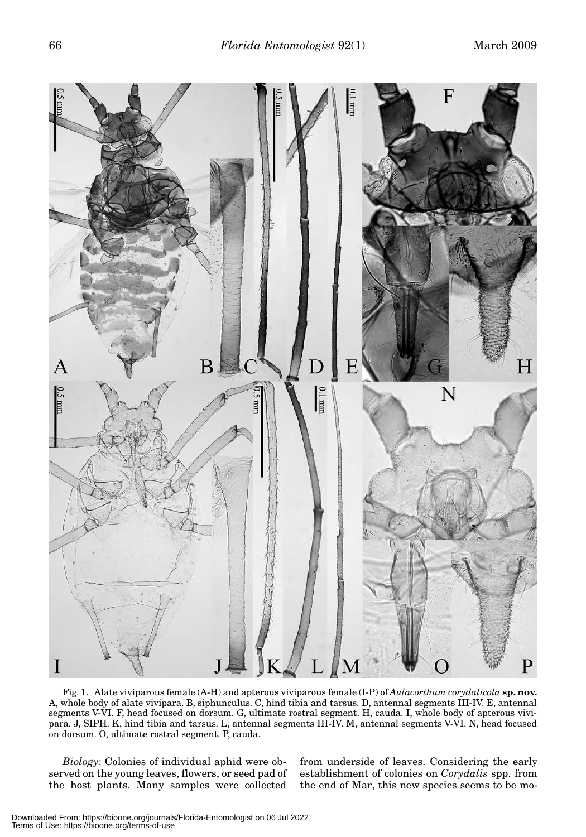

Fig. 1. Alate viviparous female (A-H) and apterous viviparous female (I-P) of *Aulacorthum corydalicola* **sp. nov.** A, whole body of alate vivipara. B, siphunculus. C, hind tibia and tarsus. D, antennal segments III-IV. E, antennal segments V-VI. F, head focused on dorsum. G, ultimate rostral segment. H, cauda. I, whole body of apterous vivipara. J, SIPH. K, hind tibia and tarsus. L, antennal segments III-IV. M, antennal segments V-VI. N, head focused on dorsum. O, ultimate rostral segment. P, cauda.

*Biology*: Colonies of individual aphid were observed on the young leaves, flowers, or seed pad of the host plants. Many samples were collected

from underside of leaves. Considering the early establishment of colonies on *Corydalis* spp. from the end of Mar, this new species seems to be mo-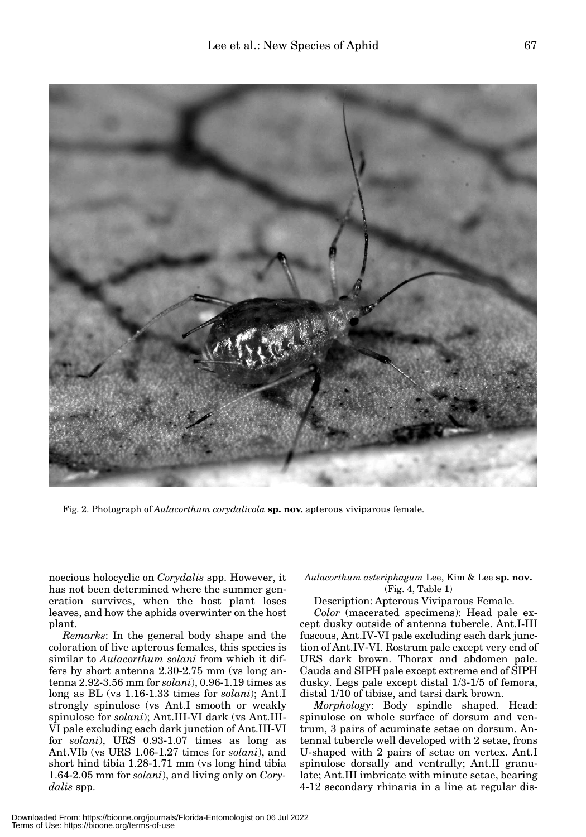

Fig. 2. Photograph of *Aulacorthum corydalicola* **sp. nov.** apterous viviparous female.

noecious holocyclic on *Corydalis* spp. However, it has not been determined where the summer generation survives, when the host plant loses leaves, and how the aphids overwinter on the host plant.

*Remarks*: In the general body shape and the coloration of live apterous females, this species is similar to *Aulacorthum solani* from which it differs by short antenna 2.30-2.75 mm (vs long antenna 2.92-3.56 mm for *solani*), 0.96-1.19 times as long as BL (vs 1.16-1.33 times for *solani*); Ant.I strongly spinulose (vs Ant.I smooth or weakly spinulose for *solani*); Ant.III-VI dark (vs Ant.III-VI pale excluding each dark junction of Ant.III-VI for *solani*), URS 0.93-1.07 times as long as Ant.VIb (vs URS 1.06-1.27 times for *solani*), and short hind tibia 1.28-1.71 mm (vs long hind tibia 1.64-2.05 mm for *solani*), and living only on *Corydalis* spp.

*Aulacorthum asteriphagum* Lee, Kim & Lee **sp. nov.**  (Fig. 4, Table 1)

Description: Apterous Viviparous Female.

*Color* (macerated specimens): Head pale except dusky outside of antenna tubercle. Ant.I-III fuscous, Ant.IV-VI pale excluding each dark junction of Ant.IV-VI. Rostrum pale except very end of URS dark brown. Thorax and abdomen pale. Cauda and SIPH pale except extreme end of SIPH dusky. Legs pale except distal 1/3-1/5 of femora, distal 1/10 of tibiae, and tarsi dark brown.

*Morphology*: Body spindle shaped. Head: spinulose on whole surface of dorsum and ventrum, 3 pairs of acuminate setae on dorsum. Antennal tubercle well developed with 2 setae, frons U-shaped with 2 pairs of setae on vertex. Ant.I spinulose dorsally and ventrally; Ant.II granulate; Ant.III imbricate with minute setae, bearing 4-12 secondary rhinaria in a line at regular dis-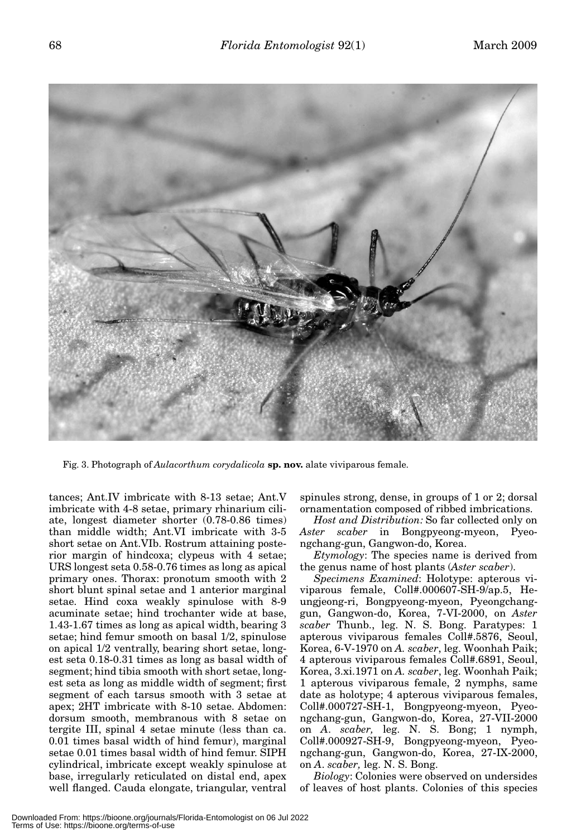

Fig. 3. Photograph of *Aulacorthum corydalicola* **sp. nov.** alate viviparous female.

tances; Ant.IV imbricate with 8-13 setae; Ant.V imbricate with 4-8 setae, primary rhinarium ciliate, longest diameter shorter (0.78-0.86 times) than middle width; Ant.VI imbricate with 3-5 short setae on Ant.VIb. Rostrum attaining posterior margin of hindcoxa; clypeus with 4 setae; URS longest seta 0.58-0.76 times as long as apical primary ones. Thorax: pronotum smooth with 2 short blunt spinal setae and 1 anterior marginal setae. Hind coxa weakly spinulose with 8-9 acuminate setae; hind trochanter wide at base, 1.43-1.67 times as long as apical width, bearing 3 setae; hind femur smooth on basal 1/2, spinulose on apical 1/2 ventrally, bearing short setae, longest seta 0.18-0.31 times as long as basal width of segment; hind tibia smooth with short setae, longest seta as long as middle width of segment; first segment of each tarsus smooth with 3 setae at apex; 2HT imbricate with 8-10 setae. Abdomen: dorsum smooth, membranous with 8 setae on tergite III, spinal 4 setae minute (less than ca. 0.01 times basal width of hind femur), marginal setae 0.01 times basal width of hind femur. SIPH cylindrical, imbricate except weakly spinulose at base, irregularly reticulated on distal end, apex well flanged. Cauda elongate, triangular, ventral

spinules strong, dense, in groups of 1 or 2; dorsal ornamentation composed of ribbed imbrications.

*Host and Distribution:* So far collected only on *Aster scaber* in Bongpyeong-myeon, Pyeongchang-gun, Gangwon-do, Korea.

*Etymology*: The species name is derived from the genus name of host plants (*Aster scaber*).

*Specimens Examined*: Holotype: apterous viviparous female, Coll#.000607-SH-9/ap.5, Heungjeong-ri, Bongpyeong-myeon, Pyeongchanggun, Gangwon-do, Korea, 7-VI-2000, on *Aster scaber* Thunb., leg. N. S. Bong. Paratypes: 1 apterous viviparous females Coll#.5876, Seoul, Korea, 6-V-1970 on *A. scaber*, leg. Woonhah Paik; 4 apterous viviparous females Coll#.6891, Seoul, Korea, 3.xi.1971 on *A. scaber*, leg. Woonhah Paik; 1 apterous viviparous female, 2 nymphs, same date as holotype; 4 apterous viviparous females, Coll#.000727-SH-1, Bongpyeong-myeon, Pyeongchang-gun, Gangwon-do, Korea, 27-VII-2000 on *A*. *scaber,* leg. N. S. Bong; 1 nymph, Coll#.000927-SH-9, Bongpyeong-myeon, Pyeongchang-gun, Gangwon-do, Korea, 27-IX-2000, on *A*. *scaber,* leg. N. S. Bong.

*Biology*: Colonies were observed on undersides of leaves of host plants. Colonies of this species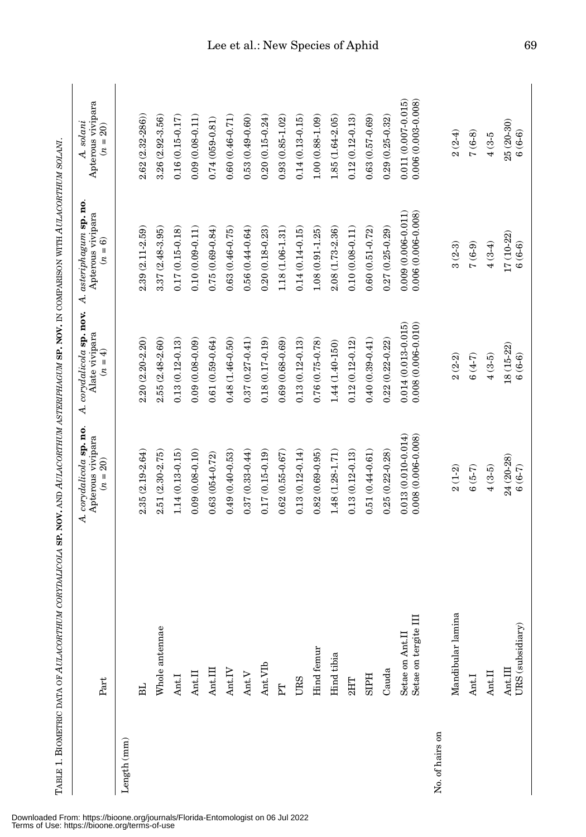|                 | TABLE 1. BIOMETRIC DATA OF AULACORTHUM CORYDALICOLA SP. NOV. AND AULACORTHUM ASTERIPHAGUM SP. NOV. IN COMPARISON WITH AULACORTHUM SOLANI |                                                            |                                                                    |                                                            |                                                            |
|-----------------|------------------------------------------------------------------------------------------------------------------------------------------|------------------------------------------------------------|--------------------------------------------------------------------|------------------------------------------------------------|------------------------------------------------------------|
|                 | Part                                                                                                                                     | A. corydalicola sp. no.<br>Apterous vivipara<br>$(n = 20)$ | A. corydalicola sp. nov.<br>Alate vivipara<br>$= 4$<br>$\tilde{z}$ | asteriphagum sp. no.<br>Apterous vivipara<br>$(n=6)$<br>4. | Apterous vivipara<br>A. solani<br>$\frac{20}{2}$<br>$(n =$ |
| Length (mm)     |                                                                                                                                          |                                                            |                                                                    |                                                            |                                                            |
|                 | <b>HE</b>                                                                                                                                | 2.35 (2.19-2.64)                                           | $2.20(2.20-2.20)$                                                  | 2.39 (2.11-2.59)                                           | 2.62 (2.32-286)                                            |
|                 | Whole antennae                                                                                                                           | $2.51(2.30 - 2.75)$                                        | 2.55 (2.48-2.60)                                                   | 3.37 (2.48-3.95)                                           | 3.26 (2.92-3.56)                                           |
|                 | Ant.I                                                                                                                                    | $1.14(0.13-0.15)$                                          | $0.13(0.12-0.13)$                                                  | $0.17(0.15-0.18)$                                          | $0.16(0.15-0.17)$                                          |
|                 | Ant.II                                                                                                                                   | $0.09(0.08-0.10)$                                          | $0.09(0.08-0.09)$                                                  | $0.10(0.09 - 0.11)$                                        | $0.09(0.08-0.11)$                                          |
|                 | Ant.III                                                                                                                                  | $0.63(054 - 0.72)$                                         | $0.61(0.59 - 0.64)$                                                | $0.75(0.69 - 0.84)$                                        | $0.74(059-0.81)$                                           |
|                 | Ant.IV                                                                                                                                   | $0.49(0.40 - 0.53)$                                        | $0.48(1.46-0.50)$                                                  | $0.63(0.46 - 0.75)$                                        | $0.60(0.46-0.71)$                                          |
|                 | Ant. $V$                                                                                                                                 | $0.37(0.33 - 0.44)$                                        | $0.37(0.27 - 0.41)$                                                | $0.56(0.44-0.64)$                                          | $0.53(0.49 - 0.60)$                                        |
|                 | Ant.VIb                                                                                                                                  | $0.17(0.15-0.19)$                                          | $0.18(0.17-0.19)$                                                  | $0.20(0.18 - 0.23)$                                        | $0.20(0.15-0.24)$                                          |
|                 | E                                                                                                                                        | $0.62(0.55 - 0.67)$                                        | $0.69(0.68 - 0.69)$                                                | $1.18\ (1.06\hbox{-}1.31)$                                 | $0.93(0.85 - 1.02)$                                        |
|                 | URS                                                                                                                                      | $0.13(0.12-0.14)$                                          | $0.13(0.12 - 0.13)$                                                | $0.14(0.14-0.15)$                                          | $0.14(0.13-0.15)$                                          |
|                 | Hind femur                                                                                                                               | $0.82(0.69 - 0.95)$                                        | $0.76(0.75-0.78)$                                                  | $1.08(0.91 - 1.25)$                                        | $1.00(0.88-1.09)$                                          |
|                 | Hind tibia                                                                                                                               | 1.48 (1.28-1.71)                                           | 1.44 (1.40-150)                                                    | 2.08 (1.73-2.36)                                           | 1.85 (1.64-2.05)                                           |
|                 | 2HT                                                                                                                                      | $0.13(0.12-0.13)$                                          | $0.12(0.12-0.12)$                                                  | $0.10(0.08 - 0.11)$                                        | $0.12(0.12-0.13)$                                          |
|                 | <b>SIPH</b>                                                                                                                              | $0.51(0.44 - 0.61)$                                        | $0.40(0.39 - 0.41)$                                                | $0.60(0.51 - 0.72)$                                        | $0.63(0.57 - 0.69)$                                        |
|                 | Cauda                                                                                                                                    | $0.25(0.22-0.28)$                                          | $0.22(0.22-0.22)$                                                  | $0.27(0.25 - 0.29)$                                        | $0.29(0.25 - 0.32)$                                        |
|                 | Setae on tergite III<br>Setae on Ant.II                                                                                                  | $0.013(0.010-0.014)$<br>$0.008(0.006 - 0.008)$             | $0.008(0.006 - 0.010)$<br>$0.014(0.013 - 0.015)$                   | $0.006(0.006 - 0.008)$<br>$0.009(0.006 - 0.011)$           | $0.006(0.003 - 0.008)$<br>$0.011(0.007 - 0.015)$           |
| No. of hairs on |                                                                                                                                          |                                                            |                                                                    |                                                            |                                                            |
|                 | Mandibular lamina                                                                                                                        | $2(1-2)$                                                   | $2(2-2)$                                                           | $3(2-3)$                                                   | $2(2-4)$                                                   |
|                 | Ant.I                                                                                                                                    | $6(5-7)$                                                   | $6(4-7)$                                                           | $(6-6)$                                                    | $7(6-8)$                                                   |
|                 | Ant.II                                                                                                                                   | $4(3-5)$                                                   | $4(3-5)$                                                           | $4(3-4)$                                                   | $4(3-5)$                                                   |
|                 | URS (subsidiary)<br>Ant.III                                                                                                              | 24 (20-28)<br>$(6(6-7))$                                   | 18 (15-22)<br>$6(6-6)$                                             | 17 (10-22)<br>$6(6-6)$                                     | 25 (20-30)<br>$6(6-6)$                                     |

Downloaded From: https://bioone.org/journals/Florida-Entomologist on 06 Jul 2022 Terms of Use: https://bioone.org/terms-of-use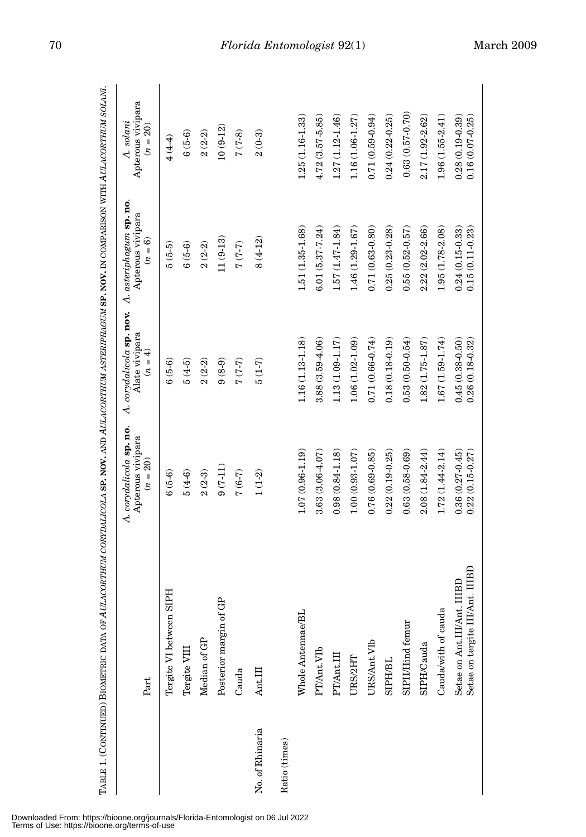|                 | Part                                                                                                                       | A. corydalicola sp. no.<br>Apterous vivipara<br>$(n = 20)$ | A. corydalicola sp. nov.<br>Alate vivipara<br>$(n = 4)$ | A. asteriphagum sp. no.<br>Apterous vivipara<br>$(n=6)$ | Apterous vivipara<br>A. solani<br>$(n = 20)$ |
|-----------------|----------------------------------------------------------------------------------------------------------------------------|------------------------------------------------------------|---------------------------------------------------------|---------------------------------------------------------|----------------------------------------------|
|                 | Tergite VI between SIPH                                                                                                    | $6(5-6)$                                                   | $(5-6)$                                                 | $5(5-5)$                                                | $4(4-4)$                                     |
|                 | Tergite VIII                                                                                                               | $5(4-6)$                                                   | $5(4-5)$                                                | $6(5-6)$                                                | $6(5-6)$                                     |
|                 | Median of GP                                                                                                               | $2(2-3)$                                                   | $2(2-2)$                                                | $2(2-2)$                                                | $2(2-2)$                                     |
|                 | Posterior margin of GP                                                                                                     | $9(7-11)$                                                  | $9(8-9)$                                                | $11(9-13)$                                              | $10(9-12)$                                   |
|                 | Cauda                                                                                                                      | $7(6-7)$                                                   | $(7-7)$                                                 | $(7-7)$                                                 | $7(7-8)$                                     |
| No. of Rhinaria | Ant.III                                                                                                                    | $1\ (1\text{-}2)$                                          | $5(1-7)$                                                | $8(4-12)$                                               | $2(0-3)$                                     |
| Ratio (times)   |                                                                                                                            |                                                            |                                                         |                                                         |                                              |
|                 | Whole Antennae/BL                                                                                                          | $1.07(0.96 - 1.19)$                                        | $1.16(1.13-1.18)$                                       | 1.51 (1.35-1.68)                                        | $1.25(1.16-1.33)$                            |
|                 | PT/Ant.VIb                                                                                                                 | 3.63 (3.06-4.07)                                           | 3.88 (3.59-4.06)                                        | $6.01(5.37 - 7.24)$                                     | $4.72(3.57 - 5.85)$                          |
|                 | PT/Ant.III                                                                                                                 | $0.98(0.84 - 1.18)$                                        | $1.13(1.09-1.17)$                                       | $1.57(1.47-1.84)$                                       | $1.27(1.12-1.46)$                            |
|                 | URS/2HT                                                                                                                    | $1.00(0.93 - 1.07)$                                        | $1.06(1.02 - 1.09)$                                     | 1.46 (1.29-1.67)                                        | 1.16 (1.06-1.27)                             |
|                 | URS/Ant.VIb                                                                                                                | $0.76(0.69 - 0.85)$                                        | $0.71(0.66 - 0.74)$                                     | $0.71(0.63 - 0.80)$                                     | $0.71(0.59 - 0.94)$                          |
|                 | SIPH/BL                                                                                                                    | $0.22(0.19 - 0.25)$                                        | $0.18(0.18-0.19)$                                       | $0.25(0.23-0.28)$                                       | $0.24(0.22-0.25)$                            |
|                 | SIPH/Hind femur                                                                                                            | $0.63(0.58 - 0.69)$                                        | $0.53(0.50 - 0.54)$                                     | $0.55(0.52-0.57)$                                       | $0.63(0.57 - 0.70)$                          |
|                 | SIPH/Cauda                                                                                                                 | 2.08 (1.84-2.44)                                           | 1.82 (1.75-1.87)                                        | 2.22 (2.02-2.66)                                        | 2.17 (1.92-2.62)                             |
|                 | Cauda/with of cauda                                                                                                        | $1.72(1.44-2.14)$                                          | $1.67(1.59 - 1.74)$                                     | 1.95 (1.78-2.08)                                        | $1.96(1.55 - 2.41)$                          |
|                 | $\overline{\phantom{0}}$ in $\overline{\phantom{0}}$<br><b>CBD</b><br>Setae on tergite III/Ant<br>Setae on Ant.III/Ant. Il | $0.36(0.27 - 0.45)$<br>$0.22(0.15 - 0.27)$                 | $0.45(0.38-0.50)$<br>$0.26(0.18 - 0.32)$                | $0.24(0.15-0.33)$<br>$0.15(0.11 - 0.23)$                | $0.28(0.19-0.39)$<br>$0.16(0.07 - 0.25)$     |
|                 |                                                                                                                            |                                                            |                                                         |                                                         |                                              |

Downloaded From: https://bioone.org/journals/Florida-Entomologist on 06 Jul 2022 Terms of Use: https://bioone.org/terms-of-use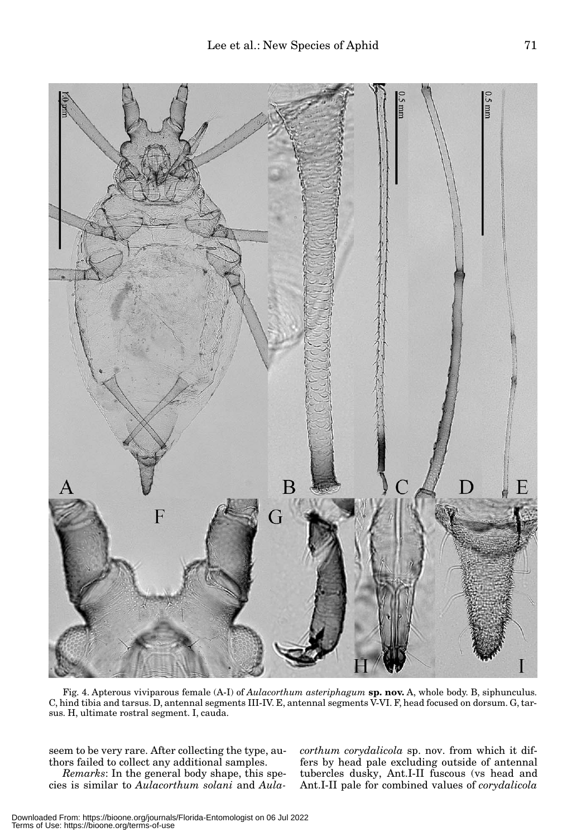

Fig. 4. Apterous viviparous female (A-I) of *Aulacorthum asteriphagum* **sp. nov.** A, whole body. B, siphunculus. C, hind tibia and tarsus. D, antennal segments III-IV. E, antennal segments V-VI. F, head focused on dorsum. G, tarsus. H, ultimate rostral segment. I, cauda.

seem to be very rare. After collecting the type, authors failed to collect any additional samples.

*Remarks*: In the general body shape, this species is similar to *Aulacorthum solani* and *Aula-* *corthum corydalicola* sp. nov. from which it differs by head pale excluding outside of antennal tubercles dusky, Ant.I-II fuscous (vs head and Ant.I-II pale for combined values of *corydalicola*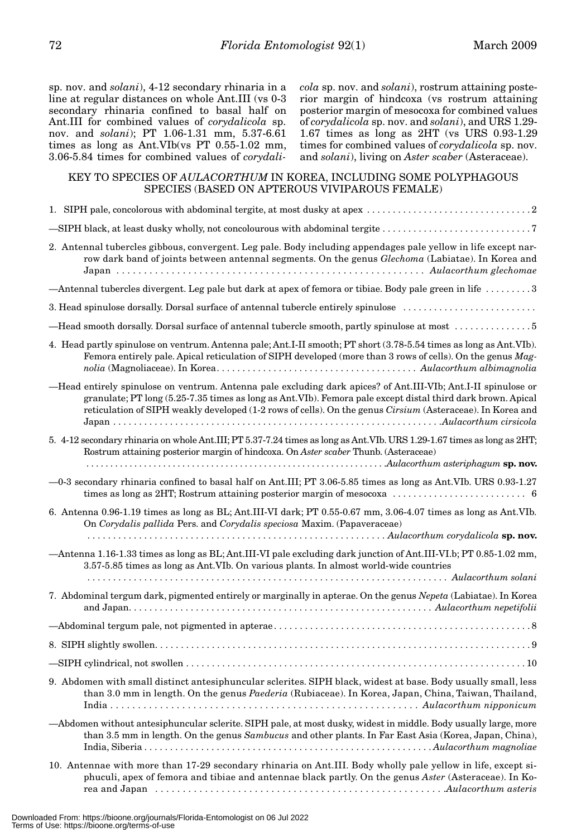sp. nov. and *solani*), 4-12 secondary rhinaria in a line at regular distances on whole Ant.III (vs 0-3 secondary rhinaria confined to basal half on Ant.III for combined values of *corydalicola* sp. nov. and *solani*); PT 1.06-1.31 mm, 5.37-6.61 times as long as Ant.VIb(vs PT 0.55-1.02 mm, 3.06-5.84 times for combined values of *corydali-* *cola* sp. nov. and *solani*), rostrum attaining posterior margin of hindcoxa (vs rostrum attaining posterior margin of mesocoxa for combined values of *corydalicola* sp. nov. and *solani*), and URS 1.29- 1.67 times as long as 2HT (vs URS 0.93-1.29 times for combined values of *corydalicola* sp. nov. and *solani*), living on *Aster scaber* (Asteraceae).

# KEY TO SPECIES OF *AULACORTHUM* IN KOREA, INCLUDING SOME POLYPHAGOUS SPECIES (BASED ON APTEROUS VIVIPAROUS FEMALE)

| SIPH black, at least dusky wholly, not concolourous with abdominal tergite                                                                                                                                                                                                                                                                   |
|----------------------------------------------------------------------------------------------------------------------------------------------------------------------------------------------------------------------------------------------------------------------------------------------------------------------------------------------|
| 2. Antennal tubercles gibbous, convergent. Leg pale. Body including appendages pale yellow in life except nar-<br>row dark band of joints between antennal segments. On the genus Glechoma (Labiatae). In Korea and                                                                                                                          |
| -Antennal tubercles divergent. Leg pale but dark at apex of femora or tibiae. Body pale green in life 3                                                                                                                                                                                                                                      |
| 3. Head spinulose dorsally. Dorsal surface of antennal tubercle entirely spinulose                                                                                                                                                                                                                                                           |
| -Head smooth dorsally. Dorsal surface of antennal tubercle smooth, partly spinulose at most 5                                                                                                                                                                                                                                                |
| 4. Head partly spinulose on ventrum. Antenna pale; Ant.I-II smooth; PT short (3.78-5.54 times as long as Ant.VIb).<br>Femora entirely pale. Apical reticulation of SIPH developed (more than 3 rows of cells). On the genus Mag-                                                                                                             |
| -Head entirely spinulose on ventrum. Antenna pale excluding dark apices? of Ant.III-VIb; Ant.I-II spinulose or<br>granulate; PT long (5.25-7.35 times as long as Ant. VIb). Femora pale except distal third dark brown. Apical<br>reticulation of SIPH weakly developed (1-2 rows of cells). On the genus Cirsium (Asteraceae). In Korea and |
| 5. 4-12 secondary rhinaria on whole Ant.III; PT 5.37-7.24 times as long as Ant.VIb. URS 1.29-1.67 times as long as 2HT;<br>Rostrum attaining posterior margin of hindcoxa. On Aster scaber Thunb. (Asteraceae)                                                                                                                               |
| -0-3 secondary rhinaria confined to basal half on Ant.III; PT 3.06-5.85 times as long as Ant.VIb. URS 0.93-1.27<br>times as long as 2HT; Rostrum attaining posterior margin of mesocoxa $\ldots \ldots \ldots \ldots \ldots \ldots$                                                                                                          |
| 6. Antenna 0.96-1.19 times as long as BL; Ant.III-VI dark; PT 0.55-0.67 mm, 3.06-4.07 times as long as Ant.VIb.<br>On Corydalis pallida Pers. and Corydalis speciosa Maxim. (Papaveraceae)                                                                                                                                                   |
| -Antenna 1.16-1.33 times as long as BL; Ant.III-VI pale excluding dark junction of Ant.III-VI.b; PT 0.85-1.02 mm,<br>3.57-5.85 times as long as Ant. VIb. On various plants. In almost world-wide countries                                                                                                                                  |
|                                                                                                                                                                                                                                                                                                                                              |
| 7. Abdominal tergum dark, pigmented entirely or marginally in apterae. On the genus Nepeta (Labiatae). In Korea                                                                                                                                                                                                                              |
|                                                                                                                                                                                                                                                                                                                                              |
|                                                                                                                                                                                                                                                                                                                                              |
|                                                                                                                                                                                                                                                                                                                                              |
| 9. Abdomen with small distinct antesiphuncular sclerites. SIPH black, widest at base. Body usually small, less<br>than 3.0 mm in length. On the genus Paederia (Rubiaceae). In Korea, Japan, China, Taiwan, Thailand,                                                                                                                        |
| -Abdomen without antesiphuncular sclerite. SIPH pale, at most dusky, widest in middle. Body usually large, more<br>than 3.5 mm in length. On the genus Sambucus and other plants. In Far East Asia (Korea, Japan, China),                                                                                                                    |
| 10. Antennae with more than 17-29 secondary rhinaria on Ant.III. Body wholly pale yellow in life, except si-<br>phuculi, apex of femora and tibiae and antennae black partly. On the genus Aster (Asteraceae). In Ko-                                                                                                                        |